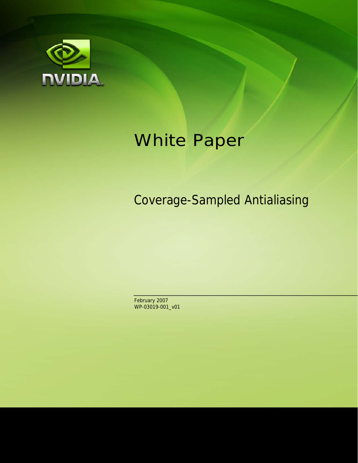

# White Paper

Coverage-Sampled Antialiasing

February 2007 WP-03019-001\_v01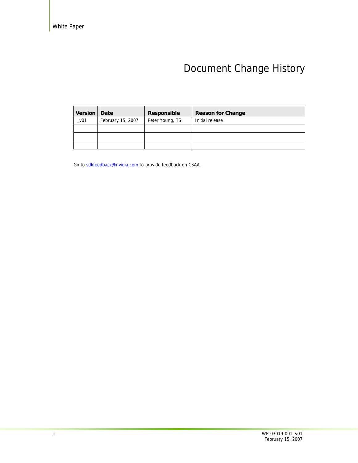## Document Change History

| <b>Version</b> | Date              | Responsible     | <b>Reason for Change</b> |
|----------------|-------------------|-----------------|--------------------------|
| $_v01$         | February 15, 2007 | Peter Young, TS | Initial release          |
|                |                   |                 |                          |
|                |                   |                 |                          |
|                |                   |                 |                          |

Go to sdkfeedback@nvidia.com to provide feedback on CSAA.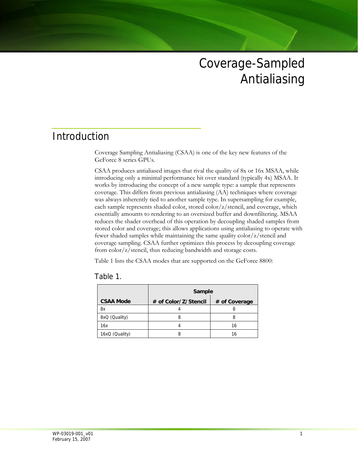## Coverage-Sampled Antialiasing

## Introduction

Coverage Sampling Antialiasing (CSAA) is one of the key new features of the GeForce 8 series GPUs.

CSAA produces antialiased images that rival the quality of 8x or 16x MSAA, while introducing only a minimal performance hit over standard (typically 4x) MSAA. It works by introducing the concept of a new sample type: a sample that represents coverage. This differs from previous antialiasing (AA) techniques where coverage was always inherently tied to another sample type. In supersampling for example, each sample represents shaded color, stored color/z/stencil, and coverage, which essentially amounts to rendering to an oversized buffer and downfiltering. MSAA reduces the shader overhead of this operation by decoupling shaded samples from stored color and coverage; this allows applications using antialiasing to operate with fewer shaded samples while maintaining the same quality color/z/stencil and coverage sampling. CSAA further optimizes this process by decoupling coverage from color/z/stencil, thus reducing bandwidth and storage costs.

Table 1 lists the CSAA modes that are supported on the GeForce 8800:

|                  | Sample               |               |
|------------------|----------------------|---------------|
| <b>CSAA Mode</b> | # of Color/Z/Stencil | # of Coverage |
| 8x               |                      |               |
| 8xQ (Quality)    |                      |               |
| 16x              |                      | 16            |
| 16xQ (Quality)   |                      | 16            |

| Table |  |  |
|-------|--|--|
|-------|--|--|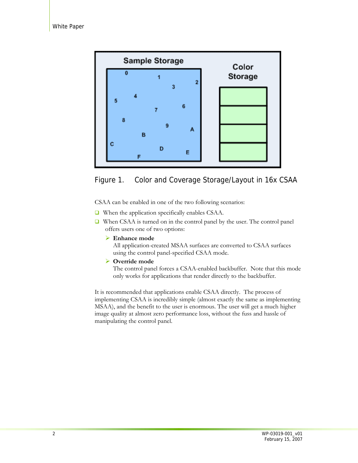



CSAA can be enabled in one of the two following scenarios:

- When the application specifically enables CSAA.
- When CSAA is turned on in the control panel by the user. The control panel offers users one of two options:
	- ¾ **Enhance mode**

All application-created MSAA surfaces are converted to CSAA surfaces using the control panel-specified CSAA mode.

¾ **Override mode**

The control panel forces a CSAA-enabled backbuffer. Note that this mode only works for applications that render directly to the backbuffer.

It is recommended that applications enable CSAA directly. The process of implementing CSAA is incredibly simple (almost exactly the same as implementing MSAA), and the benefit to the user is enormous. The user will get a much higher image quality at almost zero performance loss, without the fuss and hassle of manipulating the control panel.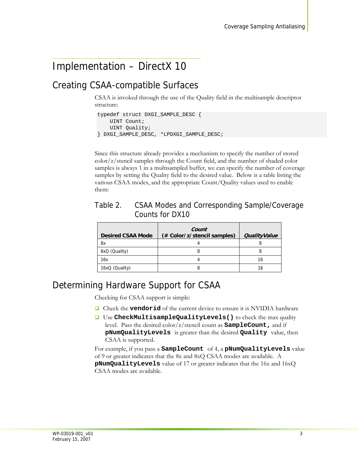## Implementation – DirectX 10

### Creating CSAA-compatible Surfaces

CSAA is invoked through the use of the Quality field in the multisample descriptor structure:

```
typedef struct DXGI SAMPLE DESC {
    UINT Count;
     UINT Quality; 
} DXGI_SAMPLE_DESC, *LPDXGI_SAMPLE_DESC;
```
Since this structure already provides a mechanism to specify the number of stored color/z/stencil samples through the Count field, and the number of shaded color samples is always 1 in a multisampled buffer, we can specify the number of coverage samples by setting the Quality field to the desired value. Below is a table listing the various CSAA modes, and the appropriate Count/Quality values used to enable them:

| Table 2. | CSAA Modes and Corresponding Sample/Coverage |
|----------|----------------------------------------------|
|          | Counts for DX10                              |

| <b>Desired CSAA Mode</b> | Count<br>(# Color/z/stencil samples) | <b>QualityValue</b> |
|--------------------------|--------------------------------------|---------------------|
| 8x                       |                                      |                     |
| 8xQ (Quality)            |                                      | 8                   |
| 16x                      |                                      | 16                  |
| 16xQ (Quality)           |                                      | 16                  |

#### Determining Hardware Support for CSAA

Checking for CSAA support is simple:

- Check the **vendorid** of the current device to ensure it is NVIDIA hardware
- Use **CheckMultisampleQualityLevels()** to check the max quality level. Pass the desired color/z/stencil count as **SampleCount,** and if **pNumQualityLevels** is greater than the desired **Quality** value, then CSAA is supported.

For example, if you pass a **SampleCount** of 4, a **pNumQualityLevels** value of 9 or greater indicates that the 8x and 8xQ CSAA modes are available. A **pNumQualityLevels** value of 17 or greater indicates that the 16x and 16xQ CSAA modes are available.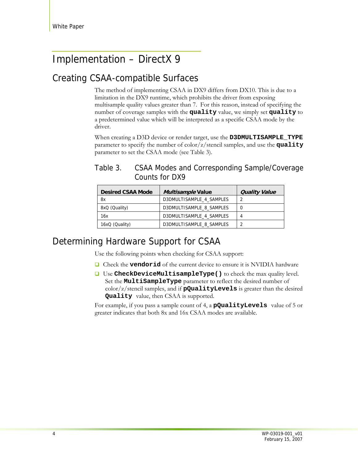## Implementation – DirectX 9

## Creating CSAA-compatible Surfaces

The method of implementing CSAA in DX9 differs from DX10. This is due to a limitation in the DX9 runtime, which prohibits the driver from exposing multisample quality values greater than 7. For this reason, instead of specifying the number of coverage samples with the **quality** value, we simply set **quality** to a predetermined value which will be interpreted as a specific CSAA mode by the driver.

When creating a D3D device or render target, use the **D3DMULTISAMPLE\_TYPE** parameter to specify the number of color/z/stencil samples, and use the **quality** parameter to set the CSAA mode (see Table 3).

| <b>Desired CSAA Mode</b> | <i>Multisample</i> Value | <b>Quality Value</b> |
|--------------------------|--------------------------|----------------------|
| 8x                       | D3DMULTISAMPLE 4 SAMPLES |                      |
| 8xQ (Quality)            | D3DMULTISAMPLE 8 SAMPLES | 0                    |
| 16x                      | D3DMULTISAMPLE 4 SAMPLES | 4                    |
| 16xQ (Quality)           | D3DMULTISAMPLE 8 SAMPLES | າ                    |

#### Table 3. CSAA Modes and Corresponding Sample/Coverage Counts for DX9

## Determining Hardware Support for CSAA

Use the following points when checking for CSAA support:

- **Q** Check the **vendorid** of the current device to ensure it is NVIDIA hardware
- Use **CheckDeviceMultisampleType()** to check the max quality level. Set the **MultiSampleType** parameter to reflect the desired number of color/z/stencil samples, and if **pQualityLevels** is greater than the desired **Quality** value, then CSAA is supported.

For example, if you pass a sample count of 4, a **pQualityLevels** value of 5 or greater indicates that both 8x and 16x CSAA modes are available.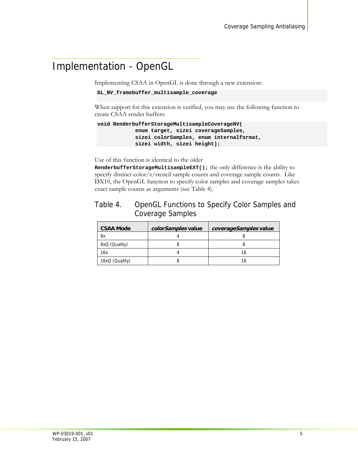## Implementation - OpenGL

Implementing CSAA in OpenGL is done through a new extension:

```
GL_NV_framebuffer_multisample_coverage
```
When support for this extension is verified, you may use the following function to create CSAA render buffers:

```
void RenderbufferStorageMultisampleCoverageNV( 
             enum target, sizei coverageSamples, 
             sizei colorSamples, enum internalformat, 
             sizei width, sizei height);
```
Use of this function is identical to the older

**RenderbufferStorageMultisampleEXT();** the only difference is the ability to specify distinct color/z/stencil sample counts and coverage sample counts. Like DX10, the OpenGL function to specify color samples and coverage samples takes exact sample counts as arguments (see Table 4).

#### Table 4. OpenGL Functions to Specify Color Samples and Coverage Samples

| <b>CSAA Mode</b> | colorSamples value | coverageSamples value |
|------------------|--------------------|-----------------------|
| 8x               |                    |                       |
| 8xQ (Quality)    |                    |                       |
| 16x              |                    | 16                    |
| 16xQ (Quality)   |                    | 16                    |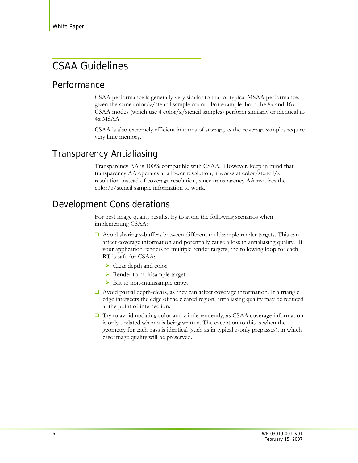## CSAA Guidelines

#### Performance

CSAA performance is generally very similar to that of typical MSAA performance, given the same  $\frac{\text{color}}{t}z/\text{stencil}}{\text{sample count}}$ . For example, both the 8x and 16x CSAA modes (which use 4 color/z/stencil samples) perform similarly or identical to 4x MSAA.

CSAA is also extremely efficient in terms of storage, as the coverage samples require very little memory.

### Transparency Antialiasing

Transparency AA is 100% compatible with CSAA. However, keep in mind that transparency AA operates at a lower resolution; it works at color/stencil/z resolution instead of coverage resolution, since transparency AA requires the color/z/stencil sample information to work.

## Development Considerations

For best image quality results, try to avoid the following scenarios when implementing CSAA:

- $\Box$  Avoid sharing z-buffers between different multisample render targets. This can affect coverage information and potentially cause a loss in antialiasing quality. If your application renders to multiple render targets, the following loop for each RT is safe for CSAA:
	- $\triangleright$  Clear depth and color
	- $\triangleright$  Render to multisample target
	- $\triangleright$  Blit to non-multisample target
- Avoid partial depth-clears, as they can affect coverage information. If a triangle edge intersects the edge of the cleared region, antialiasing quality may be reduced at the point of intersection.
- $\Box$  Try to avoid updating color and z independently, as CSAA coverage information is only updated when z is being written. The exception to this is when the geometry for each pass is identical (such as in typical z-only prepasses), in which case image quality will be preserved.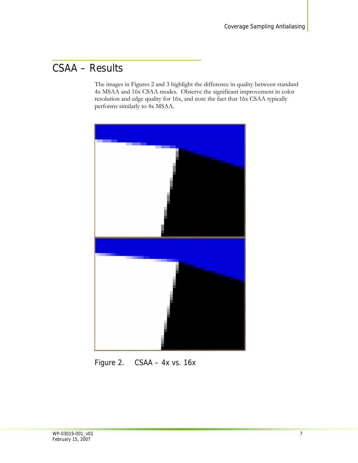## CSAA – Results

The images in Figures 2 and 3 highlight the difference in quality between standard 4x MSAA and 16x CSAA modes. Observe the significant improvement in color resolution and edge quality for 16x, and note the fact that 16x CSAA typically performs similarly to 4x MSAA.



Figure 2. CSAA – 4x vs. 16x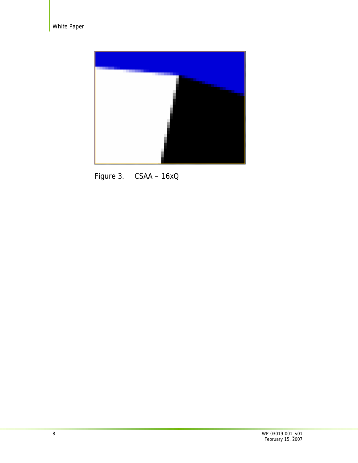

Figure 3. CSAA – 16xQ